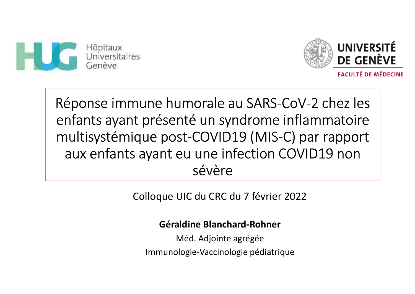



Réponse immune humorale au SARS-CoV-2 chez les enfants ayant présenté un syndrome inflammatoire multisystémique post-COVID19 (MIS-C) par rapport aux enfants ayant eu une infection COVID19 non sévère

Colloque UIC du CRC du 7 février 2022

**Géraldine Blanchard-Rohner**

Méd. Adjointe agrégéeImmunologie-Vaccinologie pédiatrique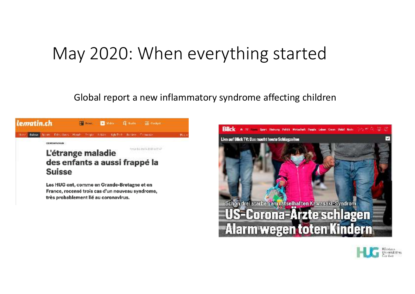### May 2020: When everything started

Global report a new inflammatory syndrome affecting children





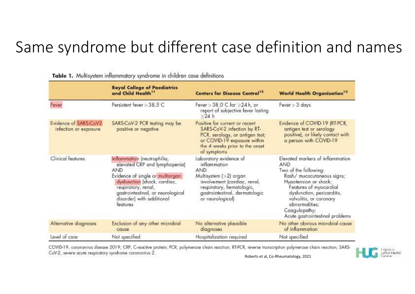#### Same syndrome but different case definition and names

|                                                | <b>Royal College of Paediatrics</b><br>and Child Health <sup>11</sup>                                                                                                                                                                        | <b>Centers for Disease Control<sup>12</sup></b>                                                                                                                                                   | <b>World Health Organization<sup>13</sup></b>                                                                                                                                                                                                                                           |
|------------------------------------------------|----------------------------------------------------------------------------------------------------------------------------------------------------------------------------------------------------------------------------------------------|---------------------------------------------------------------------------------------------------------------------------------------------------------------------------------------------------|-----------------------------------------------------------------------------------------------------------------------------------------------------------------------------------------------------------------------------------------------------------------------------------------|
| Fever                                          | Persistent fever $>$ 38.5 $\degree$ C                                                                                                                                                                                                        | Fever $>38.0$ C for $\geq$ 24 h, or<br>report of subjective fever lasting<br>$>24$ h                                                                                                              | Fever > 3 days                                                                                                                                                                                                                                                                          |
| Evidence of SARS-CoV2<br>infection or exposure | SARS-CoV-2 PCR testing may be<br>positive or negotive                                                                                                                                                                                        | Positive for current or recent<br>SARS-CoV-2 infection by RT-<br>PCR, serology, or antigen test;<br>or COVID-19 exposure within<br>the 4 weeks prior to the onset<br>of symptoms                  | Evidence of COVID-19 (RT-PCR,<br>antigen test or serology<br>positive), or likely contact with<br>a person with COVID-19                                                                                                                                                                |
| Clinical features                              | Inflammation (neutrophilia,<br>elevated CRP and lymphopenia)<br>AND<br>Evidence of single or multiorgan<br>dysfunction (shock, cardiac,<br>respiratory, renal,<br>gastrointestinal, or neurological<br>disorder) with additional<br>teatures | Laboratory evidence of<br>inflammation<br><b>AND</b><br>Multisystem (>2) organ<br>involvement (cardiac, renal,<br>respiratory, hematologic,<br>gastrointestinal, dermatologic<br>or neurological) | Elevated markers of inflammation<br><b>AND</b><br>Two of the following:<br>Rash/ mucocutaneous signs;<br>Hypotension or shock;<br>Features of myocardial<br>dysfunction, pericarditis,<br>valvulitis, or coronary<br>abnormalities;<br>Coagulopathy;<br>Acute gastrointestinal problems |
| Alternative diagnoses                          | Exclusion of any other microbial<br>cause                                                                                                                                                                                                    | No alternative plausible<br>diagnoses                                                                                                                                                             | No other obvious microbial cause<br>of inflammation                                                                                                                                                                                                                                     |
| Level of care                                  | Not specified.                                                                                                                                                                                                                               | Hospitalization required                                                                                                                                                                          | Not specified                                                                                                                                                                                                                                                                           |

Table 1. Multisystem inflammatory syndrome in children case definitions

COVID-19, coronavirus disease 2019; CRP, C-reactive protein; PCR, polymerase chain reaction; RT-PCR, reverse transcription polymerase chain reaction; SARS CoV-2, severe acute respiratory syndrome coronavirus 2.



Roberts et al, Co-Rheumatology, 2021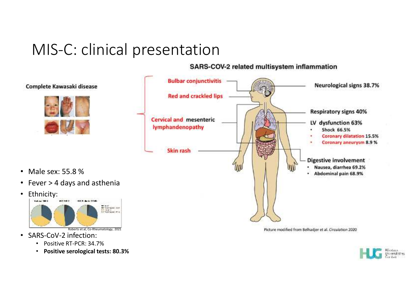#### MIS-C: clinical presentation

#### SARS-COV-2 related multisystem inflammation



• SARS-CoV-2 infection:

Male sex: 55.8 %

Complete Kawasaki disease

Ethnicity:

•

•

- •Positive RT-PCR: 34.7%
- •**Positive serological tests: 80.3%**

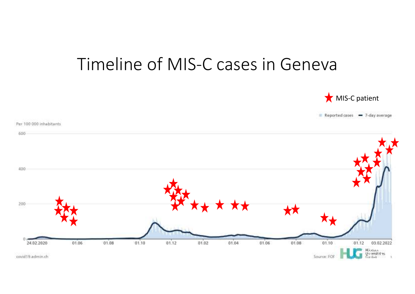#### Timeline of MIS-C cases in Geneva



Reported cases = 7-day average

Per 100 000 inhabitants 600 400 200 **\*\*** O 01.04 01.06 01.02 01.08 01.10 01.12 01.08  $01.10$  $01.12$ 01.06 03.02.2022 24.02.2020 Háotaix<br>Ún versitalies<br>Condaix Source: FOR covid19.admin.ch ň.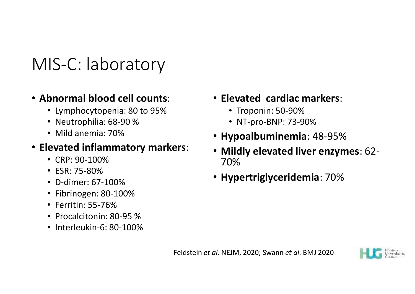## MIS-C: laboratory

#### • **Abnormal blood cell counts**:

- Lymphocytopenia: 80 to 95%
- Neutrophilia: 68-90 %
- Mild anemia: 70%

#### • **Elevated inflammatory markers**:

- CRP: 90-100%
- ESR: 75-80%
- D-dimer: 67-100%
- Fibrinogen: 80-100%
- Ferritin: 55-76%
- Procalcitonin: 80-95 %
- Interleukin-6: 80-100%
- **Elevated cardiac markers**:
	- Troponin: 50-90%
	- NT-pro-BNP: 73-90%
- **Hypoalbuminemia**: 48-95%
- **Mildly elevated liver enzymes**: 62- 70%
- **Hypertriglyceridemia**: 70%

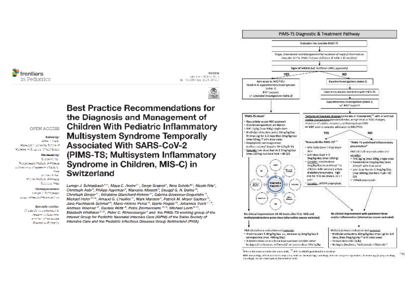mntiars in Pediatrics

**REVIEW** cardidate or 595 May 2017 1 dei. 10.3880/loco 2021.007602



OPEN ACCESS

Esklast Ave **ARM 2, CAN** Washington University School of Medioiro in St. Louis, United States

Reviewed by:

Suiten Kongar Postgressiate Institute of Mesical principal and November 12 Miletin

> **Focus Wood Worker** All John Well John Michael of School Ford

\*Сотевратование Lincon J. Schlesbach ings schedulet Glassining

Specialty scotion: This pricinwas submitted to Present College Corp. a vertica al las succesi **Francisco in Pockerios**  **Best Practice Recommendations for** the Diagnosis and Management of **Children With Pediatric Inflammatory Multisystem Syndrome Temporally Associated With SARS-CoV-2** (PIMS-TS; Multisystem Inflammatory Syndrome in Children, MIS-C) in Switzerland

Luregn J. Schlapbach<sup>134</sup>, Maya C. Andre<sup>43</sup>, Serge Grazio6<sup>4</sup>, Nina Schöbi<sup>k7</sup>, Nicole Ritz<sup>2</sup>, Christoph Aebi<sup>n</sup>, Philipp Agyerman<sup>e</sup>, Manuela Albisetti<sup>n</sup>, Dougol G. N. Bailey<sup>10</sup>, Christoph Berger<sup>17</sup>, Géraldine Blanchard-Rohner<sup>17</sup>, Sabrina Bressieux-Degueldre<sup>15</sup>, Michael Hofer<sup>1934</sup>, Amaud G. L'Huillier<sup>32</sup>, Mark Marston<sup>3</sup>, Patrick M. Meyer Sauteur<sup>11</sup>, Jana Pachlopnik Schmid<sup>15</sup>, Marie-Holone Perez<sup>15</sup>, Biarte Rogdo<sup>10</sup>, Johannes Trück<sup>11,3</sup>, Andreas Woerner<sup>17</sup>, Daniela Wiltz<sup>19</sup>, Petra Zimmermann <sup>1929</sup>, Michael Leyin <sup>2029</sup>, Elizabeth Whitbaker<sup>2121</sup>, Peter C. Rimensberger<sup>5</sup> and the PIMS-TS working group of the Interest Group for Pediatric Neonatal Intensive Care (IGPNI) of the Swiss Society of Intensive Care and the Pediatric Infectious Diseases Group Switzerland (PIGS)



"Refer to the topotation think is for excess outside, ... " safe in the ANA to guarantees for a set details

MTL encounting, which is absent, inquisiting webber, dentisting, callidag, obvious congressions, formation; Sumatring Superprise degican related consider assume applies from a western matter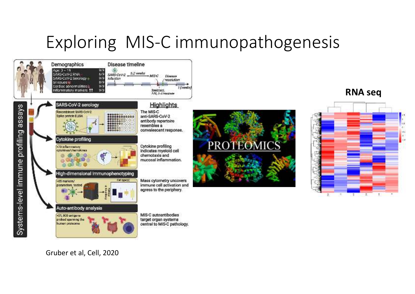## Exploring MIS-C immunopathogenesis



Gruber et al, Cell, 2020

**RNA seq**



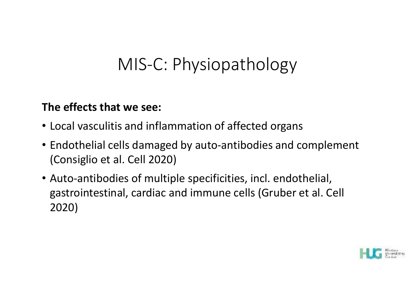## MIS-C: Physiopathology

#### **The effects that we see:**

- Local vasculitis and inflammation of affected organs
- Endothelial cells damaged by auto-antibodies and complement (Consiglio et al. Cell 2020)
- Auto-antibodies of multiple specificities, incl. endothelial, gastrointestinal, cardiac and immune cells (Gruber et al. Cell 2020)

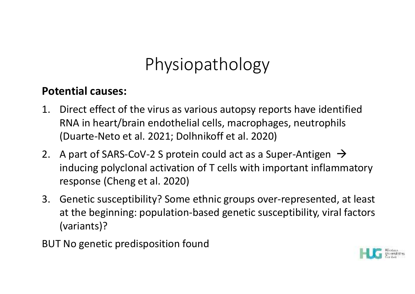## Physiopathology

#### **Potential causes:**

- 1. Direct effect of the virus as various autopsy reports have identifiedRNA in heart/brain endothelial cells, macrophages, neutrophils (Duarte-Neto et al. 2021; Dolhnikoff et al. 2020)
- 2. A part of SARS-CoV-2 S protein could act as a Super-Antigen  $\rightarrow$ inducing polyclonal activation of T cells with important inflammatory response (Cheng et al. 2020)
- 3. Genetic susceptibility? Some ethnic groups over-represented, at least at the beginning: population-based genetic susceptibility, viral factors (variants)?
- BUT No genetic predisposition found

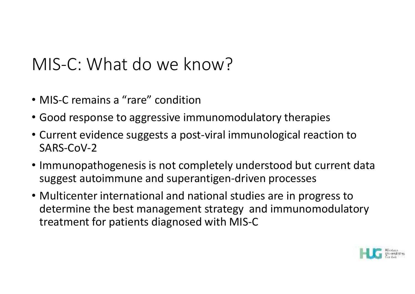## MIS-C: What do we know?

- MIS-C remains a "rare" condition
- Good response to aggressive immunomodulatory therapies
- Current evidence suggests a post-viral immunological reaction to SARS-CoV-2
- Immunopathogenesis is not completely understood but current data suggest autoimmune and superantigen-driven processes
- Multicenter international and national studies are in progress to determine the best management strategy and immunomodulatory treatment for patients diagnosed with MIS-C

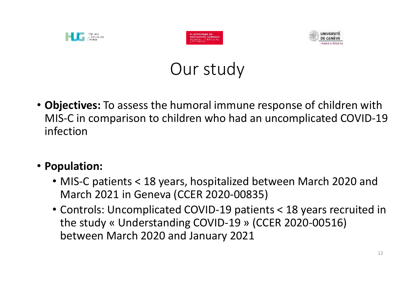





### Our study

• **Objectives:** To assess the humoral immune response of children with MIS-C in comparison to children who had an uncomplicated COVID-19 infection

#### • **Population:**

- MIS-C patients < 18 years, hospitalized between March 2020 and March 2021 in Geneva (CCER 2020-00835)
- Controls: Uncomplicated COVID-19 patients < 18 years recruited in the study « Understanding COVID-19 » (CCER 2020-00516) between March 2020 and January 2021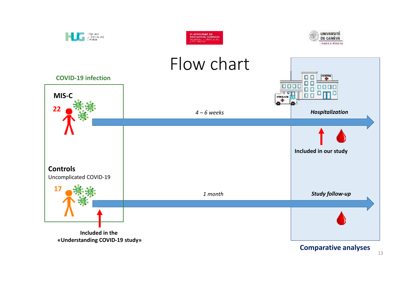

13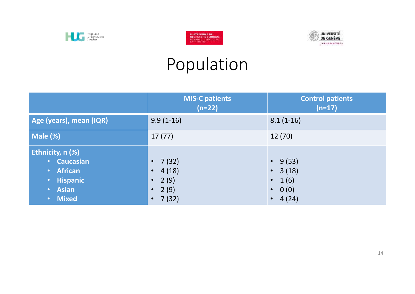





## Population

|                                                                                       | <b>MIS-C patients</b><br>$(n=22)$                                                                        | <b>Control patients</b><br>$(n=17)$                                                    |
|---------------------------------------------------------------------------------------|----------------------------------------------------------------------------------------------------------|----------------------------------------------------------------------------------------|
| Age (years), mean (IQR)                                                               | $9.9(1-16)$                                                                                              | $8.1(1-16)$                                                                            |
| Male (%)                                                                              | 17(77)                                                                                                   | 12(70)                                                                                 |
| Ethnicity, n (%)<br><b>Caucasian</b><br>• African<br>· Hispanic<br>• Asian<br>• Mixed | 7(32)<br>$\bullet$<br>4(18)<br>$\bullet$<br>2(9)<br>$\bullet$<br>2(9)<br>$\bullet$<br>7(32)<br>$\bullet$ | 9(53)<br>$\bullet$ .<br>• $3(18)$<br>1(6)<br>$\bullet$<br>$\bullet$ 0 (0)<br>• $4(24)$ |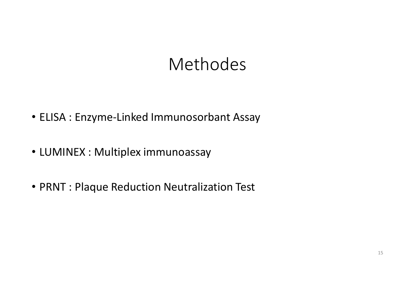### Methodes

- ELISA : Enzyme-Linked Immunosorbant Assay
- LUMINEX : Multiplex immunoassay
- PRNT : Plaque Reduction Neutralization Test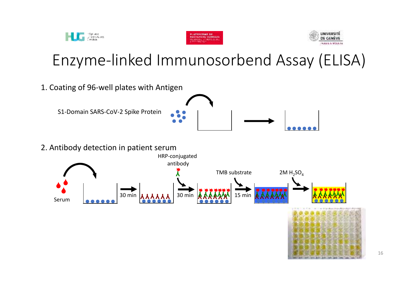

Hoppark<br>Universitätes<br>Centex



16

#### Enzyme-linked Immunosorbend Assay (ELISA)

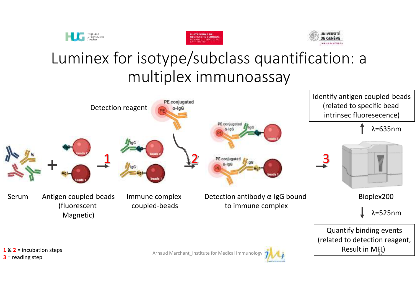





#### Luminex for isotype/subclass quantification: a multiplex immunoassay

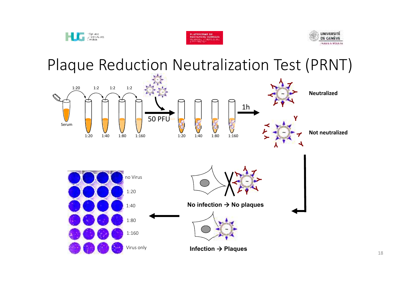





Plaque Reduction Neutralization Test (PRNT)

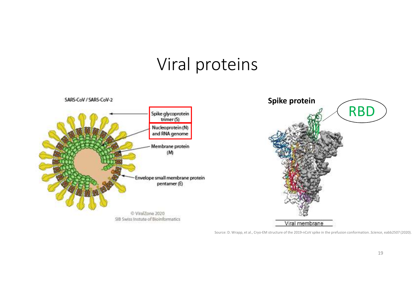### Viral proteins



Source: D. Wrapp, et al., Cryo-EM structure of the 2019-nCoV spike in the prefusion conformation. *Science*, eabb2507 (2020).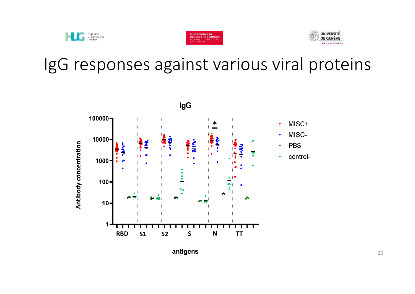





### IgG responses against various viral proteins

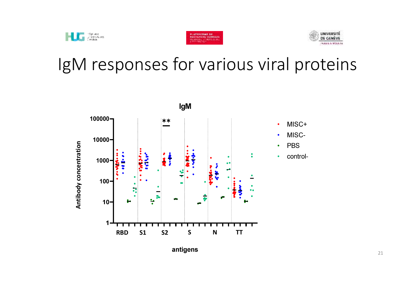



## IgM responses for various viral proteins



antigens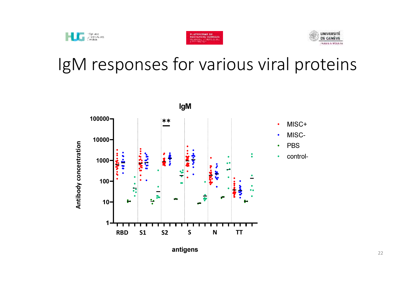

**Continue**<br>Universitätes<br>Universitätes



## IgM responses for various viral proteins



antigens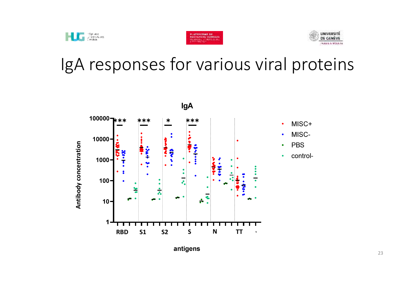





# IgA responses for various viral proteins



antigens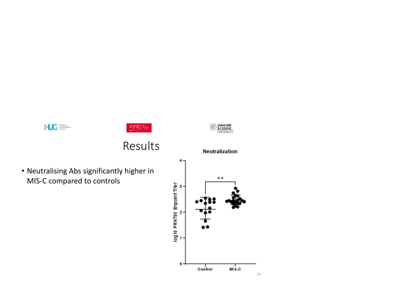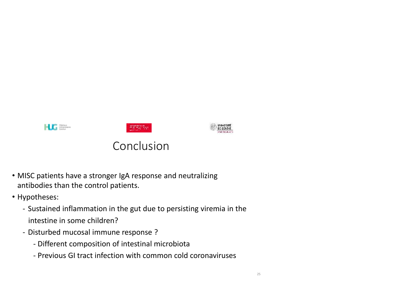

- MISC patients have a stronger IgA response and neutralizing antibodies than the control patients.
- Hypotheses:
	- Sustained inflammation in the gut due to persisting viremia in the intestine in some children?
	- Disturbed mucosal immune response ?
		- Different composition of intestinal microbiota
		- Previous GI tract infection with common cold coronaviruses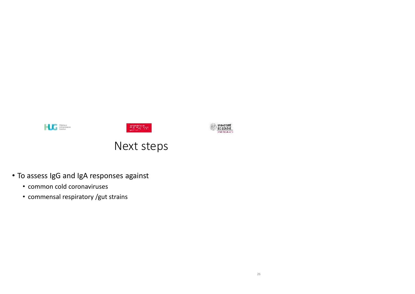





#### Next steps

- To assess IgG and IgA responses against
	- common cold coronaviruses
	- commensal respiratory /gut strains